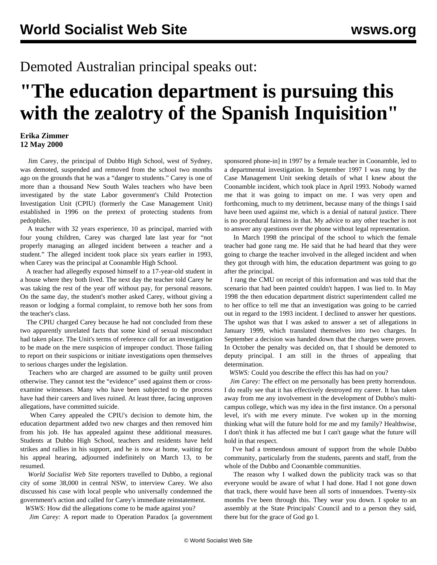## Demoted Australian principal speaks out:

## **"The education department is pursuing this with the zealotry of the Spanish Inquisition"**

## **Erika Zimmer 12 May 2000**

 Jim Carey, the principal of Dubbo High School, west of Sydney, was demoted, suspended and removed from the school two months ago on the grounds that he was a "danger to students." Carey is one of more than a thousand New South Wales teachers who have been investigated by the state Labor government's Child Protection Investigation Unit (CPIU) (formerly the Case Management Unit) established in 1996 on the pretext of protecting students from pedophiles.

 A teacher with 32 years experience, 10 as principal, married with four young children, Carey was charged late last year for "not properly managing an alleged incident between a teacher and a student." The alleged incident took place six years earlier in 1993, when Carey was the principal at Coonamble High School.

 A teacher had allegedly exposed himself to a 17-year-old student in a house where they both lived. The next day the teacher told Carey he was taking the rest of the year off without pay, for personal reasons. On the same day, the student's mother asked Carey, without giving a reason or lodging a formal complaint, to remove both her sons from the teacher's class.

 The CPIU charged Carey because he had not concluded from these two apparently unrelated facts that some kind of sexual misconduct had taken place. The Unit's terms of reference call for an investigation to be made on the mere suspicion of improper conduct. Those failing to report on their suspicions or initiate investigations open themselves to serious charges under the legislation.

 Teachers who are charged are assumed to be guilty until proven otherwise. They cannot test the "evidence" used against them or crossexamine witnesses. Many who have been subjected to the process have had their careers and lives ruined. At least three, facing unproven allegations, have committed suicide.

 When Carey appealed the CPIU's decision to demote him, the education department added two new charges and then removed him from his job. He has appealed against these additional measures. Students at Dubbo High School, teachers and residents have held strikes and rallies in his support, and he is now at home, waiting for his appeal hearing, adjourned indefinitely on March 13, to be resumed.

 *World Socialist Web Site* reporters travelled to Dubbo, a regional city of some 38,000 in central NSW, to interview Carey. We also discussed his case with local people who universally condemned the government's action and called for Carey's immediate reinstatement.

*WSWS:* How did the allegations come to be made against you?

*Jim Carey:* A report made to Operation Paradox [a government

sponsored phone-in] in 1997 by a female teacher in Coonamble, led to a departmental investigation. In September 1997 I was rung by the Case Management Unit seeking details of what I knew about the Coonamble incident, which took place in April 1993. Nobody warned me that it was going to impact on me. I was very open and forthcoming, much to my detriment, because many of the things I said have been used against me, which is a denial of natural justice. There is no procedural fairness in that. My advice to any other teacher is not to answer any questions over the phone without legal representation.

 In March 1998 the principal of the school to which the female teacher had gone rang me. He said that he had heard that they were going to charge the teacher involved in the alleged incident and when they got through with him, the education department was going to go after the principal.

 I rang the CMU on receipt of this information and was told that the scenario that had been painted couldn't happen. I was lied to. In May 1998 the then education department district superintendent called me to her office to tell me that an investigation was going to be carried out in regard to the 1993 incident. I declined to answer her questions. The upshot was that I was asked to answer a set of allegations in January 1999, which translated themselves into two charges. In September a decision was handed down that the charges were proven. In October the penalty was decided on, that I should be demoted to deputy principal. I am still in the throes of appealing that determination.

*WSWS:* Could you describe the effect this has had on you?

*Jim Carey:* The effect on me personally has been pretty horrendous. I do really see that it has effectively destroyed my career. It has taken away from me any involvement in the development of Dubbo's multicampus college, which was my idea in the first instance. On a personal level, it's with me every minute. I've woken up in the morning thinking what will the future hold for me and my family? Healthwise, I don't think it has affected me but I can't gauge what the future will hold in that respect.

 I've had a tremendous amount of support from the whole Dubbo community, particularly from the students, parents and staff, from the whole of the Dubbo and Coonamble communities.

 The reason why I walked down the publicity track was so that everyone would be aware of what I had done. Had I not gone down that track, there would have been all sorts of innuendoes. Twenty-six months I've been through this. They wear you down. I spoke to an assembly at the State Principals' Council and to a person they said, there but for the grace of God go I.